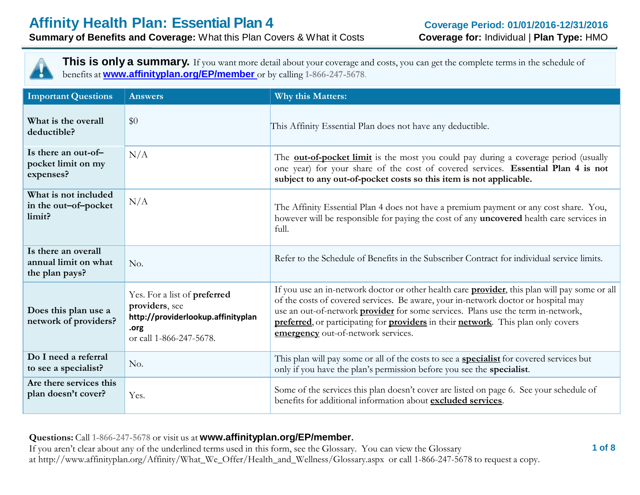

**This is only a summary.** If you want more detail about your coverage and costs, you can get the complete terms in the schedule of benefits at **[www.affinityplan.org/EP/member](http://www.affinityplan.org/EP/member)** or by calling **1-866-247-5678**.

| <b>Important Questions</b>                                    | <b>Answers</b>                                                                                                          | <b>Why this Matters:</b>                                                                                                                                                                                                                                                                                                                                                                                  |
|---------------------------------------------------------------|-------------------------------------------------------------------------------------------------------------------------|-----------------------------------------------------------------------------------------------------------------------------------------------------------------------------------------------------------------------------------------------------------------------------------------------------------------------------------------------------------------------------------------------------------|
| What is the overall<br>deductible?                            | \$0                                                                                                                     | This Affinity Essential Plan does not have any deductible.                                                                                                                                                                                                                                                                                                                                                |
| Is there an out-of-<br>pocket limit on my<br>expenses?        | N/A                                                                                                                     | The <b>out-of-pocket limit</b> is the most you could pay during a coverage period (usually<br>one year) for your share of the cost of covered services. Essential Plan 4 is not<br>subject to any out-of-pocket costs so this item is not applicable.                                                                                                                                                     |
| What is not included<br>in the out-of-pocket<br>limit?        | N/A                                                                                                                     | The Affinity Essential Plan 4 does not have a premium payment or any cost share. You,<br>however will be responsible for paying the cost of any uncovered health care services in<br>full.                                                                                                                                                                                                                |
| Is there an overall<br>annual limit on what<br>the plan pays? | No.                                                                                                                     | Refer to the Schedule of Benefits in the Subscriber Contract for individual service limits.                                                                                                                                                                                                                                                                                                               |
| Does this plan use a<br>network of providers?                 | Yes. For a list of preferred<br>providers, see<br>http://providerlookup.affinityplan<br>.org<br>or call 1-866-247-5678. | If you use an in-network doctor or other health care provider, this plan will pay some or all<br>of the costs of covered services. Be aware, your in-network doctor or hospital may<br>use an out-of-network <b>provider</b> for some services. Plans use the term in-network,<br>preferred, or participating for providers in their network. This plan only covers<br>emergency out-of-network services. |
| Do I need a referral<br>to see a specialist?                  | No.                                                                                                                     | This plan will pay some or all of the costs to see a <b>specialist</b> for covered services but<br>only if you have the plan's permission before you see the specialist.                                                                                                                                                                                                                                  |
| Are there services this<br>plan doesn't cover?                | Yes.                                                                                                                    | Some of the services this plan doesn't cover are listed on page 6. See your schedule of<br>benefits for additional information about excluded services.                                                                                                                                                                                                                                                   |

**Questions:** Call **1-866-247-5678** or visit us at **www.affinityplan.org/EP/member.**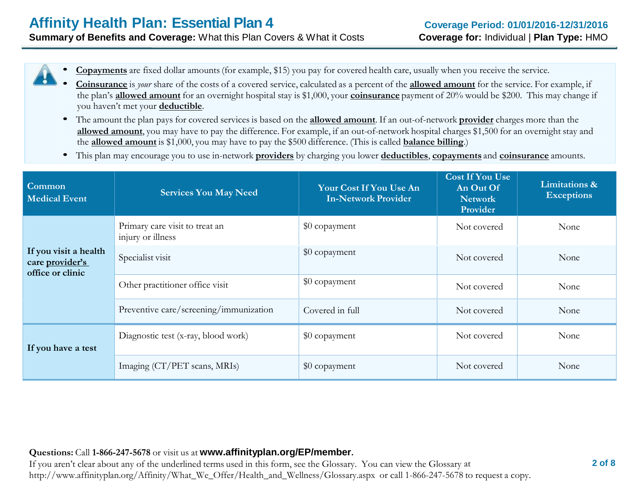- **Copayments** are fixed dollar amounts(for example, \$15) you pay for covered health care, usually when you receive the service.
- **Coinsurance** is *your* share of the costs of <sup>a</sup> covered service, calculated as a percent of the **allowed amount** for the service. For example, if the plan's **allowed amount** for an overnight hospital stay is \$1,000, your **coinsurance** payment of 20% would be \$200. This may change if you haven't met your **deductible**.
- The amount the plan pays for covered services is based on the **allowed amount**. If an out-of-network **provider** charges more than the **allowed amount**, you may have to pay the difference. For example, if an out-of-network hospital charges \$1,500 for an overnight stay and the **allowed amount** is \$1,000, you may have to pay the \$500 difference. (This is called **balance billing**.)
- This plan may encourage you to use in-network **providers** by charging you lower **deductibles**, **copayments** and **coinsurance** amounts.

| Common<br><b>Medical Event</b>                               | <b>Services You May Need</b>                        | Your Cost If You Use An<br><b>In-Network Provider</b> | <b>Cost If You Use</b><br>An Out Of<br><b>Network</b><br>Provider | Limitations &<br><b>Exceptions</b> |
|--------------------------------------------------------------|-----------------------------------------------------|-------------------------------------------------------|-------------------------------------------------------------------|------------------------------------|
|                                                              | Primary care visit to treat an<br>injury or illness | \$0 copayment                                         | Not covered                                                       | None                               |
| If you visit a health<br>care provider's<br>office or clinic | Specialist visit                                    | \$0 copayment                                         | Not covered                                                       | None                               |
|                                                              | Other practitioner office visit                     | \$0 copayment                                         | Not covered                                                       | None                               |
|                                                              | Preventive care/screening/immunization              | Covered in full                                       | Not covered                                                       | None                               |
| If you have a test                                           | Diagnostic test (x-ray, blood work)                 | \$0 copayment                                         | Not covered                                                       | None                               |
|                                                              | Imaging (CT/PET scans, MRIs)                        | \$0 copayment                                         | Not covered                                                       | None                               |

#### **Questions:** Call **1-866-247-5678** or visit us at **www.affinityplan.org/EP/member.**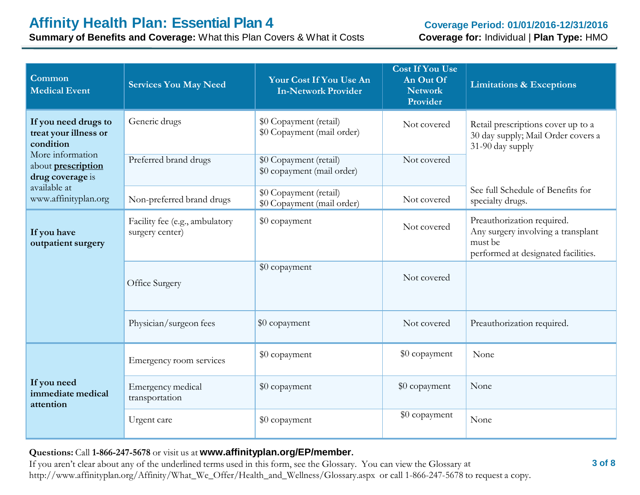**Summary of Benefits and Coverage:** What this Plan Covers & What it Costs

| Common<br><b>Medical Event</b>                                    | <b>Services You May Need</b>                      | Your Cost If You Use An<br><b>In-Network Provider</b> | <b>Cost If You Use</b><br>An Out Of<br><b>Network</b><br>Provider | <b>Limitations &amp; Exceptions</b>                                                                                |
|-------------------------------------------------------------------|---------------------------------------------------|-------------------------------------------------------|-------------------------------------------------------------------|--------------------------------------------------------------------------------------------------------------------|
| If you need drugs to<br>treat your illness or<br>condition        | Generic drugs                                     | \$0 Copayment (retail)<br>\$0 Copayment (mail order)  | Not covered                                                       | Retail prescriptions cover up to a<br>30 day supply; Mail Order covers a<br>31-90 day supply                       |
| More information<br>about <b>prescription</b><br>drug coverage is | Preferred brand drugs                             | \$0 Copayment (retail)<br>\$0 copayment (mail order)  | Not covered                                                       |                                                                                                                    |
| available at<br>www.affinityplan.org                              | Non-preferred brand drugs                         | \$0 Copayment (retail)<br>\$0 Copayment (mail order)  | Not covered                                                       | See full Schedule of Benefits for<br>specialty drugs.                                                              |
| If you have<br>outpatient surgery                                 | Facility fee (e.g., ambulatory<br>surgery center) | \$0 copayment                                         | Not covered                                                       | Preauthorization required.<br>Any surgery involving a transplant<br>must be<br>performed at designated facilities. |
|                                                                   | Office Surgery                                    | \$0 copayment                                         | Not covered                                                       |                                                                                                                    |
|                                                                   | Physician/surgeon fees                            | \$0 copayment                                         | Not covered                                                       | Preauthorization required.                                                                                         |
|                                                                   | Emergency room services                           | \$0 copayment                                         | \$0 copayment                                                     | None                                                                                                               |
| If you need<br>immediate medical<br>attention                     | Emergency medical<br>transportation               | \$0 copayment                                         | \$0 copayment                                                     | None                                                                                                               |
|                                                                   | Urgent care                                       | \$0 copayment                                         | \$0 copayment                                                     | None                                                                                                               |

#### **Questions:** Call **1-866-247-5678** or visit us at **www.affinityplan.org/EP/member.**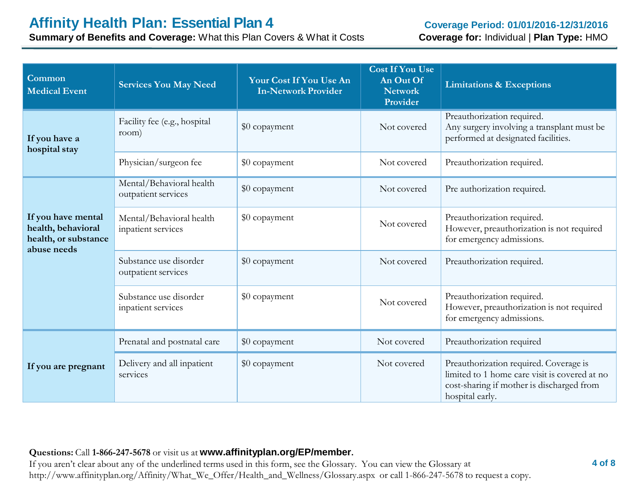**Summary of Benefits and Coverage:** What this Plan Covers & What it Costs

| Common<br><b>Medical Event</b>                                                  | <b>Services You May Need</b>                    | Your Cost If You Use An<br><b>In-Network Provider</b> | <b>Cost If You Use</b><br>An Out Of<br><b>Network</b><br>Provider | <b>Limitations &amp; Exceptions</b>                                                                                                                     |
|---------------------------------------------------------------------------------|-------------------------------------------------|-------------------------------------------------------|-------------------------------------------------------------------|---------------------------------------------------------------------------------------------------------------------------------------------------------|
| If you have a<br>hospital stay                                                  | Facility fee (e.g., hospital<br>room)           | \$0 copayment                                         | Not covered                                                       | Preauthorization required.<br>Any surgery involving a transplant must be<br>performed at designated facilities.                                         |
|                                                                                 | Physician/surgeon fee                           | \$0 copayment                                         | Not covered                                                       | Preauthorization required.                                                                                                                              |
|                                                                                 | Mental/Behavioral health<br>outpatient services | \$0 copayment                                         | Not covered                                                       | Pre authorization required.                                                                                                                             |
| If you have mental<br>health, behavioral<br>health, or substance<br>abuse needs | Mental/Behavioral health<br>inpatient services  | \$0 copayment                                         | Not covered                                                       | Preauthorization required.<br>However, preauthorization is not required<br>for emergency admissions.                                                    |
|                                                                                 | Substance use disorder<br>outpatient services   | \$0 copayment                                         | Not covered                                                       | Preauthorization required.                                                                                                                              |
|                                                                                 | Substance use disorder<br>inpatient services    | \$0 copayment                                         | Not covered                                                       | Preauthorization required.<br>However, preauthorization is not required<br>for emergency admissions.                                                    |
|                                                                                 | Prenatal and postnatal care                     | \$0 copayment                                         | Not covered                                                       | Preauthorization required                                                                                                                               |
| If you are pregnant                                                             | Delivery and all inpatient<br>services          | \$0 copayment                                         | Not covered                                                       | Preauthorization required. Coverage is<br>limited to 1 home care visit is covered at no<br>cost-sharing if mother is discharged from<br>hospital early. |

#### **Questions:** Call **1-866-247-5678** or visit us at **www.affinityplan.org/EP/member.**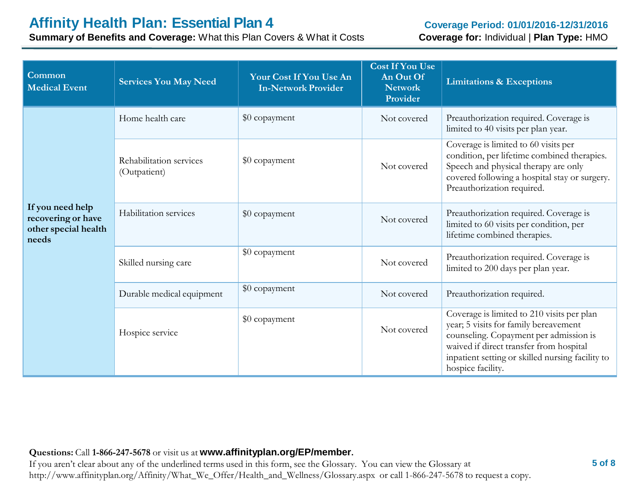# **Affinity Health Plan: Essential Plan 4**

**Summary of Benefits and Coverage:** What this Plan Covers & What it Costs

#### **Coverage Period: 01/01/2016-12/31/2016 Coverage for:** Individual | **Plan Type:** HMO

| Common<br><b>Medical Event</b>                                          | <b>Services You May Need</b>            | Your Cost If You Use An<br><b>In-Network Provider</b> | <b>Cost If You Use</b><br>An Out Of<br><b>Network</b><br>Provider | <b>Limitations &amp; Exceptions</b>                                                                                                                                                                                                               |
|-------------------------------------------------------------------------|-----------------------------------------|-------------------------------------------------------|-------------------------------------------------------------------|---------------------------------------------------------------------------------------------------------------------------------------------------------------------------------------------------------------------------------------------------|
|                                                                         | Home health care                        | \$0 copayment                                         | Not covered                                                       | Preauthorization required. Coverage is<br>limited to 40 visits per plan year.                                                                                                                                                                     |
|                                                                         | Rehabilitation services<br>(Outpatient) | \$0 copayment                                         | Not covered                                                       | Coverage is limited to 60 visits per<br>condition, per lifetime combined therapies.<br>Speech and physical therapy are only<br>covered following a hospital stay or surgery.<br>Preauthorization required.                                        |
| If you need help<br>recovering or have<br>other special health<br>needs | Habilitation services                   | \$0 copayment                                         | Not covered                                                       | Preauthorization required. Coverage is<br>limited to 60 visits per condition, per<br>lifetime combined therapies.                                                                                                                                 |
|                                                                         | Skilled nursing care                    | \$0 copayment                                         | Not covered                                                       | Preauthorization required. Coverage is<br>limited to 200 days per plan year.                                                                                                                                                                      |
|                                                                         | Durable medical equipment               | \$0 copayment                                         | Not covered                                                       | Preauthorization required.                                                                                                                                                                                                                        |
|                                                                         | Hospice service                         | \$0 copayment                                         | Not covered                                                       | Coverage is limited to 210 visits per plan<br>year; 5 visits for family bereavement<br>counseling. Copayment per admission is<br>waived if direct transfer from hospital<br>inpatient setting or skilled nursing facility to<br>hospice facility. |

#### **Questions:** Call **1-866-247-5678** or visit us at **www.affinityplan.org/EP/member.**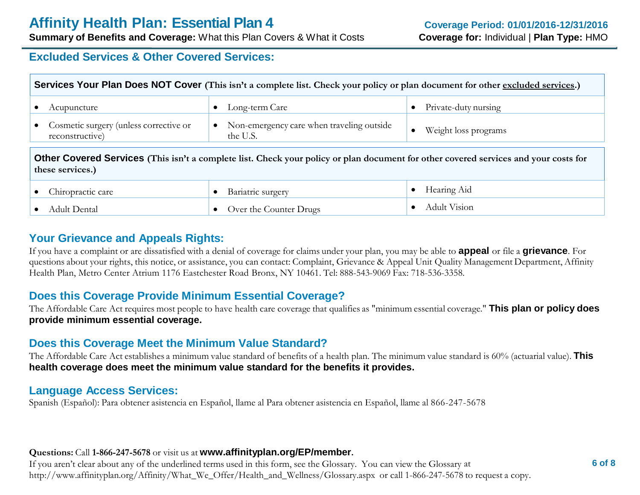**Summary of Benefits and Coverage:** What this Plan Covers & What it Costs

### **Excluded Services & Other Covered Services:**

| Services Your Plan Does NOT Cover (This isn't a complete list. Check your policy or plan document for other excluded services.)                          |                                                       |                      |  |  |
|----------------------------------------------------------------------------------------------------------------------------------------------------------|-------------------------------------------------------|----------------------|--|--|
| Acupuncture                                                                                                                                              | Long-term Care                                        | Private-duty nursing |  |  |
| Cosmetic surgery (unless corrective or<br>reconstructive)                                                                                                | Non-emergency care when traveling outside<br>the U.S. | Weight loss programs |  |  |
| Other Covered Services (This isn't a complete list. Check your policy or plan document for other covered services and your costs for<br>these services.) |                                                       |                      |  |  |

| hiropractic care | Bariatric surgery      | Hearing Aid  |
|------------------|------------------------|--------------|
| Adult Dental     | Over the Counter Drugs | Adult Vision |

# **Your Grievance and Appeals Rights:**

If you have a complaint or are dissatisfied with a denial of coverage for claims under your plan, you may be able to **appeal** or file a **grievance**. For questions about your rights, this notice, or assistance, you can contact: Complaint, Grievance & Appeal Unit Quality Management Department, Affinity Health Plan, Metro Center Atrium 1176 Eastchester Road Bronx, NY 10461. Tel: 888-543-9069 Fax: 718-536-3358.

# **Does this Coverage Provide Minimum Essential Coverage?**

The Affordable Care Act requires most people to have health care coverage that qualifies as "minimum essential coverage." **This plan or policy does provide minimum essential coverage.**

# **Does this Coverage Meet the Minimum Value Standard?**

The Affordable Care Act establishes a minimum value standard of benefits of a health plan. The minimum value standard is 60% (actuarial value). **This health coverage does meet the minimum value standard for the benefits it provides.**

#### **Language Access Services:**

Spanish (Español): Para obtener asistencia en Español, llame al Para obtener asistencia en Español, llame al 866-247-5678

#### **Questions:** Call **1-866-247-5678** or visit us at **www.affinityplan.org/EP/member.**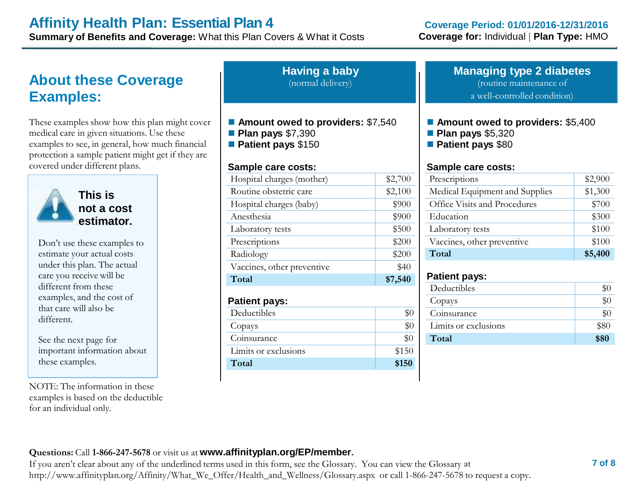# **Affinity Health Plan: Essential Plan 4**

**Summary of Benefits and Coverage:** What this Plan Covers & What it Costs

# **About these Coverage Examples:**

These examples show how this plan might cover medical care in given situations. Use these examples to see, in general, how much financial protection a sample patient might get if they are covered under different plans.



**This is not a cost estimator.**

Don't use these examples to estimate your actual costs under this plan. The actual care you receive will be different from these examples, and the cost of that care will also be different.

See the next page for important information about these examples.

NOTE: The information in these examples is based on the deductible for an individual only.

**Having a baby** (normal delivery)

- Amount owed to providers: \$7,540
- **Plan pays** \$7,390
- **Patient pays** \$150

#### **Sample care costs:**

| Hospital charges (mother)  | \$2,700 |
|----------------------------|---------|
| Routine obstetric care     | \$2,100 |
| Hospital charges (baby)    | \$900   |
| Anesthesia                 | \$900   |
| Laboratory tests           | \$500   |
| Prescriptions              | \$200   |
| Radiology                  | \$200   |
| Vaccines, other preventive | \$40    |
| Total                      | \$7,540 |
| <b>Patient pays:</b>       |         |
| Deductibles                | \$0     |
| Copays                     | \$0     |
| Coinsurance                | \$0     |
| Limits or exclusions       | \$150   |
| Total                      | \$150   |

#### **Managing type 2 diabetes** (routine maintenance of

a well-controlled condition)

- **Amount owed to providers: \$5,400**
- **Plan pays** \$5,320
- **Patient pays** \$80

#### **Sample care costs:**

| Prescriptions                  | \$2,900 |
|--------------------------------|---------|
| Medical Equipment and Supplies | \$1,300 |
| Office Visits and Procedures   | \$700   |
| Education                      | \$300   |
| Laboratory tests               | \$100   |
| Vaccines, other preventive     | \$100   |
| Total                          | \$5,400 |

#### **Patient pays:**

| Deductibles          |       |
|----------------------|-------|
| Copays               |       |
| Coinsurance          | $\$0$ |
| Limits or exclusions | \$80  |
| Total                | \$80  |

#### **Questions:** Call **1-866-247-5678** or visit us at **www.affinityplan.org/EP/member.**